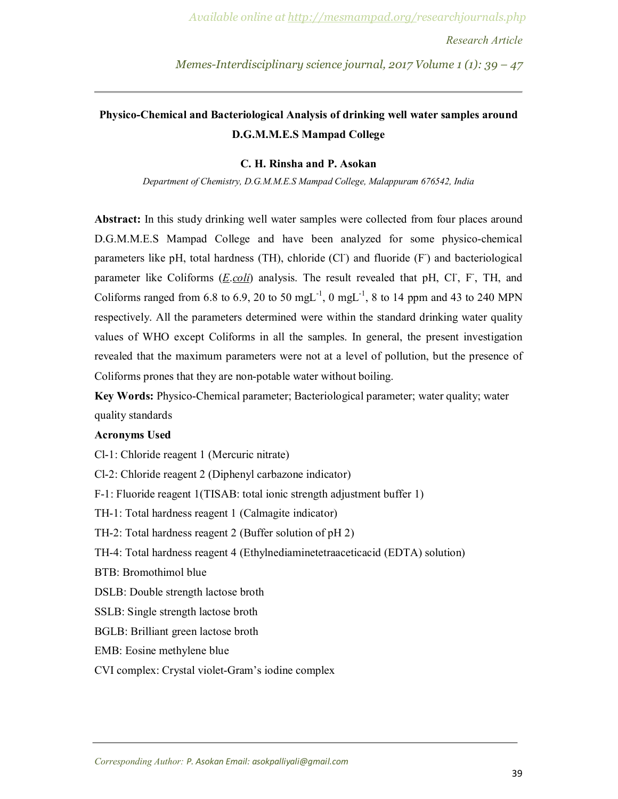*Memes-Interdisciplinary science journal, 2017 Volume 1 (1): 39 – 47*

## **Physico-Chemical and Bacteriological Analysis of drinking well water samples around D.G.M.M.E.S Mampad College**

#### **C. H. Rinsha and P. Asokan**

*Department of Chemistry, D.G.M.M.E.S Mampad College, Malappuram 676542, India*

**Abstract:** In this study drinking well water samples were collected from four places around D.G.M.M.E.S Mampad College and have been analyzed for some physico-chemical parameters like pH, total hardness (TH), chloride (Cl<sup>-</sup>) and fluoride (F<sup>-</sup>) and bacteriological parameter like Coliforms (*E.coli*) analysis. The result revealed that pH, Cl, F, TH, and Coliforms ranged from 6.8 to 6.9, 20 to 50 mgL<sup>-1</sup>, 0 mgL<sup>-1</sup>, 8 to 14 ppm and 43 to 240 MPN respectively. All the parameters determined were within the standard drinking water quality values of WHO except Coliforms in all the samples. In general, the present investigation revealed that the maximum parameters were not at a level of pollution, but the presence of Coliforms prones that they are non-potable water without boiling.

**Key Words:** Physico-Chemical parameter; Bacteriological parameter; water quality; water quality standards

#### **Acronyms Used**

Cl-1: Chloride reagent 1 (Mercuric nitrate)

Cl-2: Chloride reagent 2 (Diphenyl carbazone indicator)

F-1: Fluoride reagent 1(TISAB: total ionic strength adjustment buffer 1)

TH-1: Total hardness reagent 1 (Calmagite indicator)

- TH-2: Total hardness reagent 2 (Buffer solution of pH 2)
- TH-4: Total hardness reagent 4 (Ethylnediaminetetraaceticacid (EDTA) solution)
- BTB: Bromothimol blue
- DSLB: Double strength lactose broth
- SSLB: Single strength lactose broth
- BGLB: Brilliant green lactose broth
- EMB: Eosine methylene blue
- CVI complex: Crystal violet-Gram's iodine complex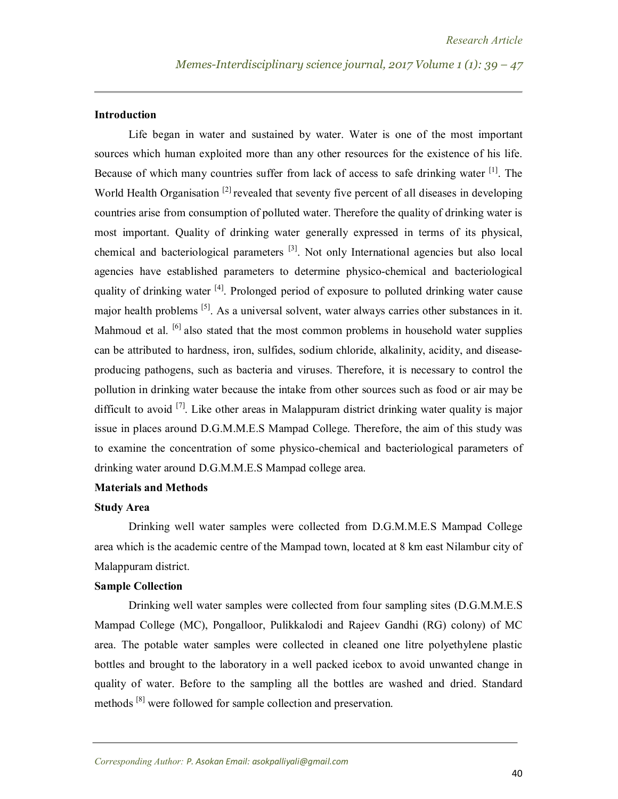#### **Introduction**

Life began in water and sustained by water. Water is one of the most important sources which human exploited more than any other resources for the existence of his life. Because of which many countries suffer from lack of access to safe drinking water <sup>[1]</sup>. The World Health Organisation<sup>[2]</sup> revealed that seventy five percent of all diseases in developing countries arise from consumption of polluted water. Therefore the quality of drinking water is most important. Quality of drinking water generally expressed in terms of its physical, chemical and bacteriological parameters<sup>[3]</sup>. Not only International agencies but also local agencies have established parameters to determine physico-chemical and bacteriological quality of drinking water <sup>[4]</sup>. Prolonged period of exposure to polluted drinking water cause major health problems <sup>[5]</sup>. As a universal solvent, water always carries other substances in it. Mahmoud et al.  $\left[6\right]$  also stated that the most common problems in household water supplies can be attributed to hardness, iron, sulfides, sodium chloride, alkalinity, acidity, and diseaseproducing pathogens, such as bacteria and viruses. Therefore, it is necessary to control the pollution in drinking water because the intake from other sources such as food or air may be difficult to avoid <sup>[7]</sup>. Like other areas in Malappuram district drinking water quality is major issue in places around D.G.M.M.E.S Mampad College. Therefore, the aim of this study was to examine the concentration of some physico-chemical and bacteriological parameters of drinking water around D.G.M.M.E.S Mampad college area.

### **Materials and Methods**

#### **Study Area**

Drinking well water samples were collected from D.G.M.M.E.S Mampad College area which is the academic centre of the Mampad town, located at 8 km east Nilambur city of Malappuram district.

#### **Sample Collection**

Drinking well water samples were collected from four sampling sites (D.G.M.M.E.S Mampad College (MC), Pongalloor, Pulikkalodi and Rajeev Gandhi (RG) colony) of MC area. The potable water samples were collected in cleaned one litre polyethylene plastic bottles and brought to the laboratory in a well packed icebox to avoid unwanted change in quality of water. Before to the sampling all the bottles are washed and dried. Standard methods <sup>[8]</sup> were followed for sample collection and preservation.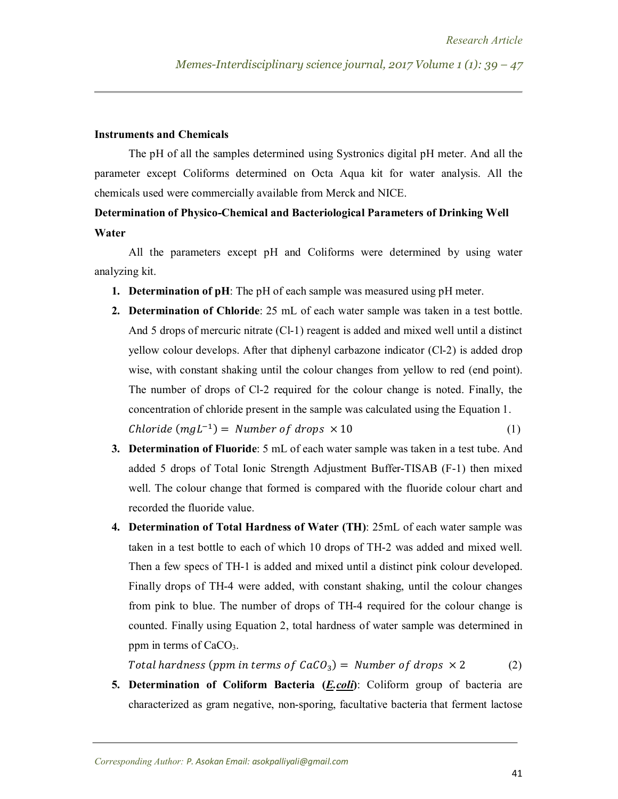#### **Instruments and Chemicals**

The pH of all the samples determined using Systronics digital pH meter. And all the parameter except Coliforms determined on Octa Aqua kit for water analysis. All the chemicals used were commercially available from Merck and NICE.

# **Determination of Physico-Chemical and Bacteriological Parameters of Drinking Well Water**

All the parameters except pH and Coliforms were determined by using water analyzing kit.

- **1. Determination of pH**: The pH of each sample was measured using pH meter.
- **2. Determination of Chloride**: 25 mL of each water sample was taken in a test bottle. And 5 drops of mercuric nitrate (Cl-1) reagent is added and mixed well until a distinct yellow colour develops. After that diphenyl carbazone indicator (Cl-2) is added drop wise, with constant shaking until the colour changes from yellow to red (end point). The number of drops of Cl-2 required for the colour change is noted. Finally, the concentration of chloride present in the sample was calculated using the Equation 1.  $Chloride(mgL^{-1}) = Number of drops \times 10$  (1)
	- **3. Determination of Fluoride**: 5 mL of each water sample was taken in a test tube. And added 5 drops of Total Ionic Strength Adjustment Buffer-TISAB (F-1) then mixed well. The colour change that formed is compared with the fluoride colour chart and recorded the fluoride value.
	- **4. Determination of Total Hardness of Water (TH)**: 25mL of each water sample was taken in a test bottle to each of which 10 drops of TH-2 was added and mixed well. Then a few specs of TH-1 is added and mixed until a distinct pink colour developed. Finally drops of TH-4 were added, with constant shaking, until the colour changes from pink to blue. The number of drops of TH-4 required for the colour change is counted. Finally using Equation 2, total hardness of water sample was determined in ppm in terms of  $CaCO<sub>3</sub>$ .

Total hardness (ppm in terms of  $CaCO<sub>3</sub>$ ) = Number of drops  $\times$  2 (2)

**5. Determination of Coliform Bacteria (***E.coli***)**: Coliform group of bacteria are characterized as gram negative, non-sporing, facultative bacteria that ferment lactose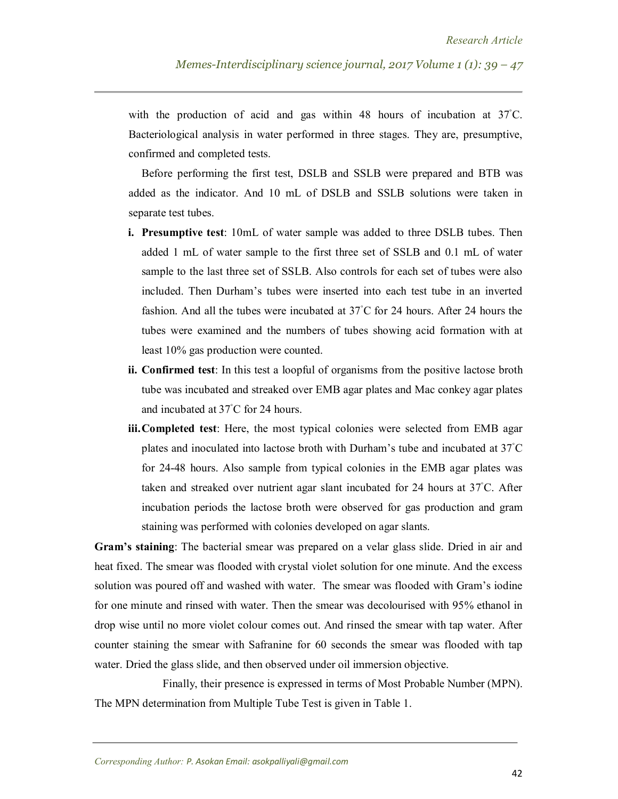with the production of acid and gas within 48 hours of incubation at  $37^{\circ}$ C. Bacteriological analysis in water performed in three stages. They are, presumptive, confirmed and completed tests.

Before performing the first test, DSLB and SSLB were prepared and BTB was added as the indicator. And 10 mL of DSLB and SSLB solutions were taken in separate test tubes.

- **i. Presumptive test**: 10mL of water sample was added to three DSLB tubes. Then added 1 mL of water sample to the first three set of SSLB and 0.1 mL of water sample to the last three set of SSLB. Also controls for each set of tubes were also included. Then Durham's tubes were inserted into each test tube in an inverted fashion. And all the tubes were incubated at 37◦C for 24 hours. After 24 hours the tubes were examined and the numbers of tubes showing acid formation with at least 10% gas production were counted.
- **ii. Confirmed test**: In this test a loopful of organisms from the positive lactose broth tube was incubated and streaked over EMB agar plates and Mac conkey agar plates and incubated at 37°C for 24 hours.
- **iii.Completed test**: Here, the most typical colonies were selected from EMB agar plates and inoculated into lactose broth with Durham's tube and incubated at 37◦C for 24-48 hours. Also sample from typical colonies in the EMB agar plates was taken and streaked over nutrient agar slant incubated for 24 hours at 37◦C. After incubation periods the lactose broth were observed for gas production and gram staining was performed with colonies developed on agar slants.

**Gram's staining**: The bacterial smear was prepared on a velar glass slide. Dried in air and heat fixed. The smear was flooded with crystal violet solution for one minute. And the excess solution was poured off and washed with water. The smear was flooded with Gram's iodine for one minute and rinsed with water. Then the smear was decolourised with 95% ethanol in drop wise until no more violet colour comes out. And rinsed the smear with tap water. After counter staining the smear with Safranine for 60 seconds the smear was flooded with tap water. Dried the glass slide, and then observed under oil immersion objective.

Finally, their presence is expressed in terms of Most Probable Number (MPN). The MPN determination from Multiple Tube Test is given in Table 1.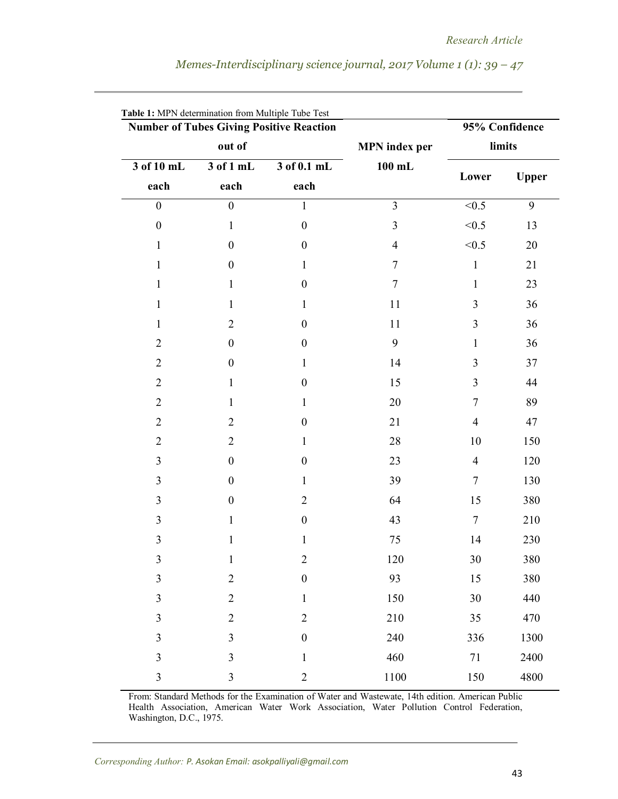| <b>Number of Tubes Giving Positive Reaction</b> |                         | 95% Confidence      |                                  |                  |              |
|-------------------------------------------------|-------------------------|---------------------|----------------------------------|------------------|--------------|
|                                                 | out of                  |                     | <b>MPN</b> index per<br>$100$ mL | limits           |              |
| 3 of 10 mL<br>each                              | 3 of 1 mL<br>each       | 3 of 0.1 mL<br>each |                                  | Lower            | <b>Upper</b> |
|                                                 |                         |                     |                                  |                  |              |
| $\boldsymbol{0}$                                | $\boldsymbol{0}$        | $\mathbf{1}$        | 3                                | < 0.5            | 9            |
| $\boldsymbol{0}$                                | 1                       | $\boldsymbol{0}$    | 3                                | < 0.5            | 13           |
| 1                                               | $\boldsymbol{0}$        | $\boldsymbol{0}$    | $\overline{\mathcal{A}}$         | < 0.5            | 20           |
| 1                                               | $\boldsymbol{0}$        | 1                   | 7                                | $\mathbf{1}$     | 21           |
| 1                                               | 1                       | $\boldsymbol{0}$    | 7                                | $\mathbf{1}$     | 23           |
| 1                                               | 1                       | 1                   | 11                               | 3                | 36           |
| $\mathbf{1}$                                    | $\mathbf{2}$            | $\boldsymbol{0}$    | 11                               | $\mathfrak{Z}$   | 36           |
| $\overline{2}$                                  | $\boldsymbol{0}$        | $\boldsymbol{0}$    | 9                                | $\mathbf{1}$     | 36           |
| $\overline{2}$                                  | $\boldsymbol{0}$        | $\mathbf{1}$        | 14                               | $\mathfrak{Z}$   | 37           |
| $\overline{2}$                                  | $\mathbf{1}$            | $\boldsymbol{0}$    | 15                               | $\mathfrak{Z}$   | 44           |
| $\overline{2}$                                  | 1                       | 1                   | 20                               | $\boldsymbol{7}$ | 89           |
| $\overline{2}$                                  | $\overline{2}$          | $\boldsymbol{0}$    | 21                               | $\overline{4}$   | 47           |
| $\overline{2}$                                  | $\overline{2}$          | 1                   | 28                               | 10               | 150          |
| $\mathfrak{Z}$                                  | $\boldsymbol{0}$        | $\boldsymbol{0}$    | 23                               | $\overline{4}$   | 120          |
| $\mathfrak{Z}$                                  | $\boldsymbol{0}$        | $\mathbf{1}$        | 39                               | $\boldsymbol{7}$ | 130          |
| 3                                               | $\boldsymbol{0}$        | $\overline{2}$      | 64                               | 15               | 380          |
| 3                                               | 1                       | $\boldsymbol{0}$    | 43                               | $\boldsymbol{7}$ | 210          |
| $\mathfrak{Z}$                                  | 1                       | 1                   | 75                               | 14               | 230          |
| $\mathfrak{Z}$                                  | $\mathbf{1}$            | $\overline{2}$      | 120                              | 30               | 380          |
| $\mathfrak{Z}$                                  | $\overline{2}$          | $\boldsymbol{0}$    | 93                               | 15               | 380          |
| 3                                               | $\overline{2}$          | $\,1\,$             | 150                              | 30               | 440          |
| $\overline{3}$                                  | $\overline{2}$          | $\overline{2}$      | 210                              | 35               | 470          |
| 3                                               | $\mathfrak{Z}$          | $\boldsymbol{0}$    | 240                              | 336              | 1300         |
| $\overline{\mathbf{3}}$                         | $\overline{\mathbf{3}}$ | $\mathbf 1$         | 460                              | 71               | 2400         |
| $\mathfrak{Z}$                                  | $\mathfrak{Z}$          | $\boldsymbol{2}$    | $1100\,$                         | 150              | 4800         |

*Memes-Interdisciplinary science journal, 2017 Volume 1 (1): 39 – 47*

From: Standard Methods for the Examination of Water and Wastewate, 14th edition. American Public Health Association, American Water Work Association, Water Pollution Control Federation, Washington, D.C., 1975.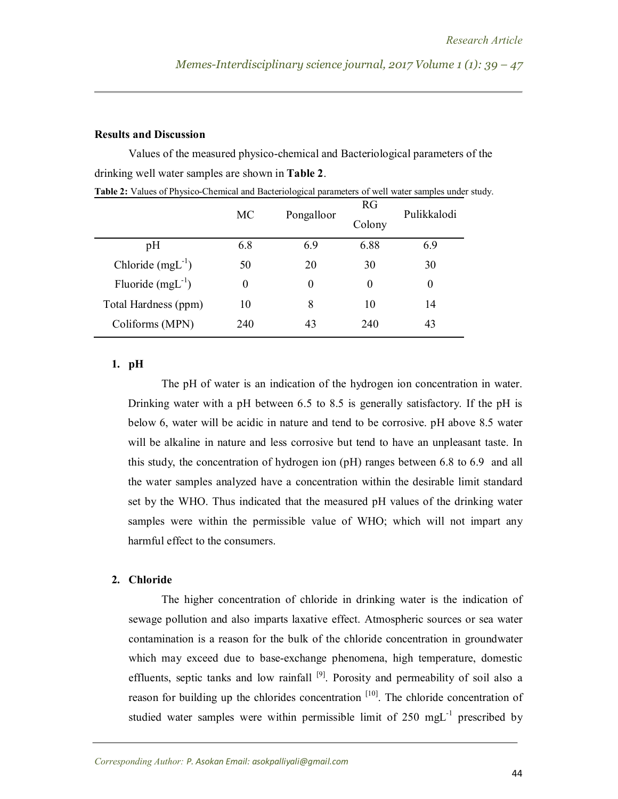#### **Results and Discussion**

Values of the measured physico-chemical and Bacteriological parameters of the drinking well water samples are shown in **Table 2**.

|                       | MC  | Pongalloor | RG<br>Colony | Pulikkalodi |
|-----------------------|-----|------------|--------------|-------------|
| pH                    | 6.8 | 6.9        | 6.88         | 6.9         |
| Chloride $(mgL^{-1})$ | 50  | 20         | 30           | 30          |
| Fluoride $(mgL^{-1})$ | 0   | $\theta$   | $\Omega$     | $\theta$    |
| Total Hardness (ppm)  | 10  | 8          | 10           | 14          |
| Coliforms (MPN)       | 240 | 43         | 240          | 43          |

**Table 2:** Values of Physico-Chemical and Bacteriological parameters of well water samples under study.

#### **1. pH**

The pH of water is an indication of the hydrogen ion concentration in water. Drinking water with a pH between 6.5 to 8.5 is generally satisfactory. If the pH is below 6, water will be acidic in nature and tend to be corrosive. pH above 8.5 water will be alkaline in nature and less corrosive but tend to have an unpleasant taste. In this study, the concentration of hydrogen ion (pH) ranges between 6.8 to 6.9 and all the water samples analyzed have a concentration within the desirable limit standard set by the WHO. Thus indicated that the measured pH values of the drinking water samples were within the permissible value of WHO; which will not impart any harmful effect to the consumers.

## **2. Chloride**

The higher concentration of chloride in drinking water is the indication of sewage pollution and also imparts laxative effect. Atmospheric sources or sea water contamination is a reason for the bulk of the chloride concentration in groundwater which may exceed due to base-exchange phenomena, high temperature, domestic effluents, septic tanks and low rainfall  $[9]$ . Porosity and permeability of soil also a reason for building up the chlorides concentration  $[10]$ . The chloride concentration of studied water samples were within permissible limit of  $250 \text{ mgL}^{-1}$  prescribed by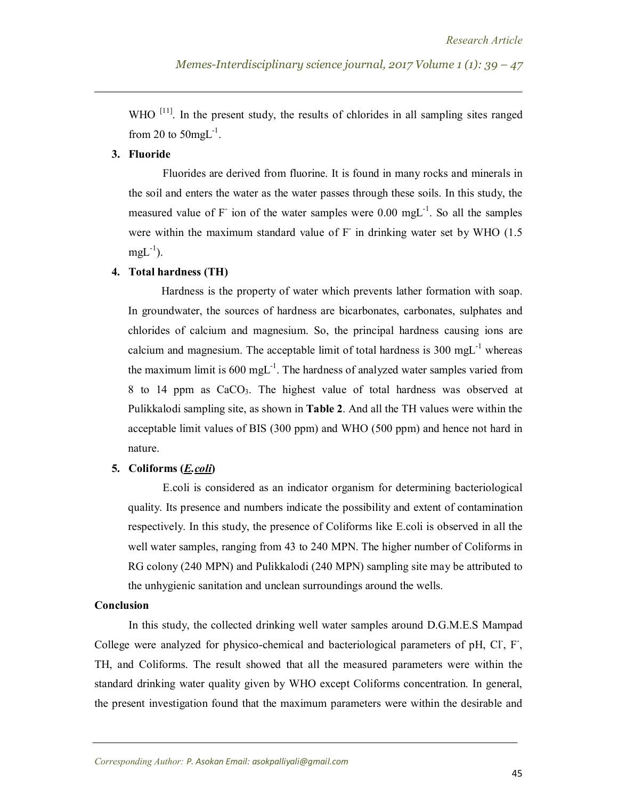WHO  $^{[11]}$ . In the present study, the results of chlorides in all sampling sites ranged from 20 to  $50$ mgL<sup>-1</sup>.

### **3. Fluoride**

Fluorides are derived from fluorine. It is found in many rocks and minerals in the soil and enters the water as the water passes through these soils. In this study, the measured value of  $F^-$  ion of the water samples were 0.00 mgL<sup>-1</sup>. So all the samples were within the maximum standard value of  $F$  in drinking water set by WHO (1.5)  $mgL^{-1}$ ).

#### **4. Total hardness (TH)**

Hardness is the property of water which prevents lather formation with soap. In groundwater, the sources of hardness are bicarbonates, carbonates, sulphates and chlorides of calcium and magnesium. So, the principal hardness causing ions are calcium and magnesium. The acceptable limit of total hardness is  $300 \text{ mgL}^{-1}$  whereas the maximum limit is 600 mgL<sup>-1</sup>. The hardness of analyzed water samples varied from 8 to 14 ppm as CaCO3. The highest value of total hardness was observed at Pulikkalodi sampling site, as shown in **Table 2**. And all the TH values were within the acceptable limit values of BIS (300 ppm) and WHO (500 ppm) and hence not hard in nature.

#### **5. Coliforms (***E.coli***)**

E.coli is considered as an indicator organism for determining bacteriological quality. Its presence and numbers indicate the possibility and extent of contamination respectively. In this study, the presence of Coliforms like E.coli is observed in all the well water samples, ranging from 43 to 240 MPN. The higher number of Coliforms in RG colony (240 MPN) and Pulikkalodi (240 MPN) sampling site may be attributed to the unhygienic sanitation and unclean surroundings around the wells.

#### **Conclusion**

In this study, the collected drinking well water samples around D.G.M.E.S Mampad College were analyzed for physico-chemical and bacteriological parameters of pH, Cl, F, TH, and Coliforms. The result showed that all the measured parameters were within the standard drinking water quality given by WHO except Coliforms concentration. In general, the present investigation found that the maximum parameters were within the desirable and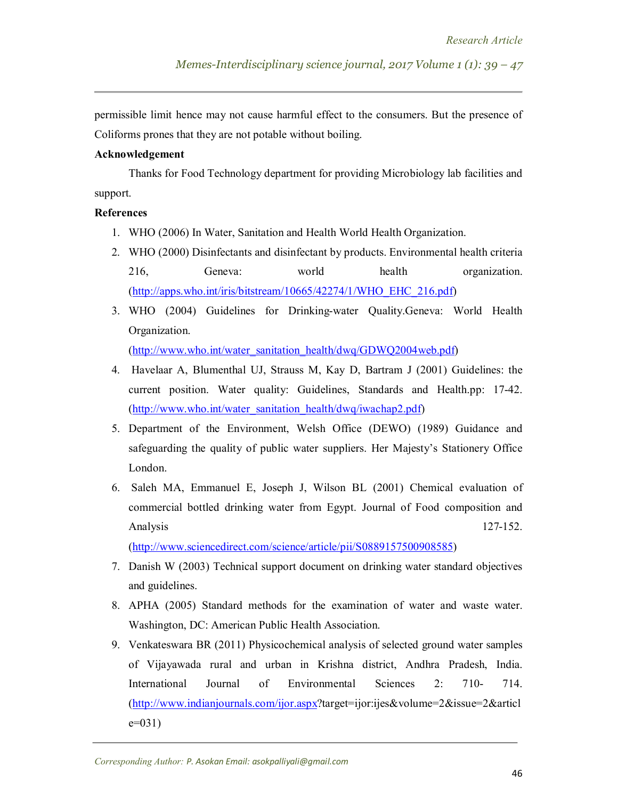permissible limit hence may not cause harmful effect to the consumers. But the presence of Coliforms prones that they are not potable without boiling.

#### **Acknowledgement**

Thanks for Food Technology department for providing Microbiology lab facilities and support.

#### **References**

- 1. WHO (2006) In Water, Sanitation and Health World Health Organization.
- 2. WHO (2000) Disinfectants and disinfectant by products. Environmental health criteria 216, Geneva: world health organization. (http://apps.who.int/iris/bitstream/10665/42274/1/WHO\_EHC\_216.pdf)
- 3. WHO (2004) Guidelines for Drinking-water Quality.Geneva: World Health Organization.

(http://www.who.int/water\_sanitation\_health/dwq/GDWQ2004web.pdf)

- 4. Havelaar A, Blumenthal UJ, Strauss M, Kay D, Bartram J (2001) Guidelines: the current position. Water quality: Guidelines, Standards and Health.pp: 17-42. (http://www.who.int/water\_sanitation\_health/dwq/iwachap2.pdf)
- 5. Department of the Environment, Welsh Office (DEWO) (1989) Guidance and safeguarding the quality of public water suppliers. Her Majesty's Stationery Office London.
- 6. Saleh MA, Emmanuel E, Joseph J, Wilson BL (2001) Chemical evaluation of commercial bottled drinking water from Egypt. Journal of Food composition and Analysis 127-152.

(http://www.sciencedirect.com/science/article/pii/S0889157500908585)

- 7. Danish W (2003) Technical support document on drinking water standard objectives and guidelines.
- 8. APHA (2005) Standard methods for the examination of water and waste water. Washington, DC: American Public Health Association.
- 9. Venkateswara BR (2011) Physicochemical analysis of selected ground water samples of Vijayawada rural and urban in Krishna district, Andhra Pradesh, India. International Journal of Environmental Sciences 2: 710- 714. (http://www.indianjournals.com/ijor.aspx?target=ijor:ijes&volume=2&issue=2&articl  $e=031$ )